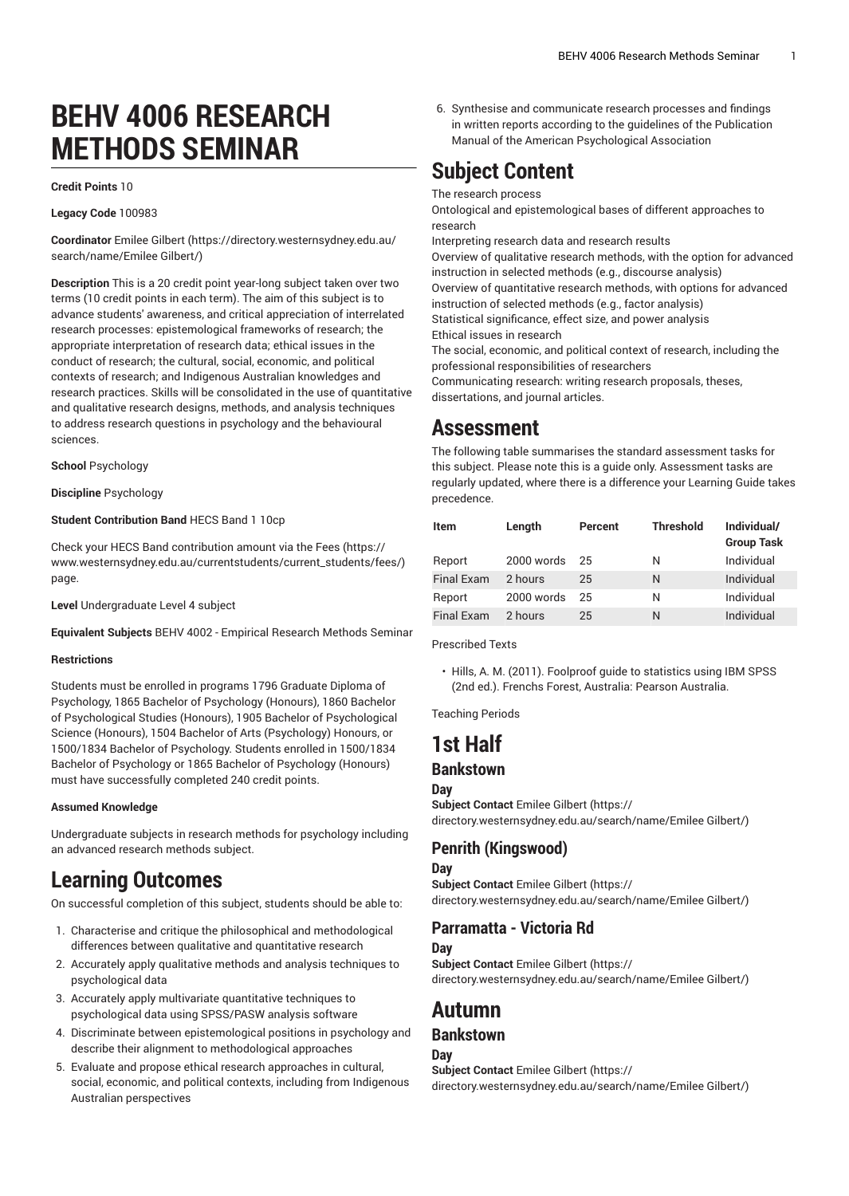# **BEHV 4006 RESEARCH METHODS SEMINAR**

#### **Credit Points** 10

#### **Legacy Code** 100983

**Coordinator** [Emilee](https://directory.westernsydney.edu.au/search/name/Emilee Gilbert/) Gilbert [\(https://directory.westernsydney.edu.au/](https://directory.westernsydney.edu.au/search/name/Emilee Gilbert/) [search/name/Emilee](https://directory.westernsydney.edu.au/search/name/Emilee Gilbert/) Gilbert/)

**Description** This is a 20 credit point year-long subject taken over two terms (10 credit points in each term). The aim of this subject is to advance students' awareness, and critical appreciation of interrelated research processes: epistemological frameworks of research; the appropriate interpretation of research data; ethical issues in the conduct of research; the cultural, social, economic, and political contexts of research; and Indigenous Australian knowledges and research practices. Skills will be consolidated in the use of quantitative and qualitative research designs, methods, and analysis techniques to address research questions in psychology and the behavioural sciences.

#### **School** Psychology

**Discipline** Psychology

#### **Student Contribution Band** HECS Band 1 10cp

Check your HECS Band contribution amount via the [Fees \(https://](https://www.westernsydney.edu.au/currentstudents/current_students/fees/) [www.westernsydney.edu.au/currentstudents/current\\_students/fees/\)](https://www.westernsydney.edu.au/currentstudents/current_students/fees/) page.

**Level** Undergraduate Level 4 subject

**Equivalent Subjects** BEHV 4002 - Empirical Research Methods Seminar

#### **Restrictions**

Students must be enrolled in programs 1796 Graduate Diploma of Psychology, 1865 Bachelor of Psychology (Honours), 1860 Bachelor of Psychological Studies (Honours), 1905 Bachelor of Psychological Science (Honours), 1504 Bachelor of Arts (Psychology) Honours, or 1500/1834 Bachelor of Psychology. Students enrolled in 1500/1834 Bachelor of Psychology or 1865 Bachelor of Psychology (Honours) must have successfully completed 240 credit points.

#### **Assumed Knowledge**

Undergraduate subjects in research methods for psychology including an advanced research methods subject.

## **Learning Outcomes**

On successful completion of this subject, students should be able to:

- 1. Characterise and critique the philosophical and methodological differences between qualitative and quantitative research
- 2. Accurately apply qualitative methods and analysis techniques to psychological data
- 3. Accurately apply multivariate quantitative techniques to psychological data using SPSS/PASW analysis software
- 4. Discriminate between epistemological positions in psychology and describe their alignment to methodological approaches
- 5. Evaluate and propose ethical research approaches in cultural, social, economic, and political contexts, including from Indigenous Australian perspectives

6. Synthesise and communicate research processes and findings in written reports according to the guidelines of the Publication Manual of the American Psychological Association

## **Subject Content**

#### The research process

Ontological and epistemological bases of different approaches to research

Interpreting research data and research results Overview of qualitative research methods, with the option for advanced instruction in selected methods (e.g., discourse analysis) Overview of quantitative research methods, with options for advanced instruction of selected methods (e.g., factor analysis) Statistical significance, effect size, and power analysis Ethical issues in research The social, economic, and political context of research, including the

professional responsibilities of researchers Communicating research: writing research proposals, theses, dissertations, and journal articles.

## **Assessment**

The following table summarises the standard assessment tasks for this subject. Please note this is a guide only. Assessment tasks are regularly updated, where there is a difference your Learning Guide takes precedence.

| <b>Item</b>       | Length     | Percent | <b>Threshold</b> | Individual/<br><b>Group Task</b> |
|-------------------|------------|---------|------------------|----------------------------------|
| Report            | 2000 words | 25      | N                | Individual                       |
| <b>Final Exam</b> | 2 hours    | 25      | N                | Individual                       |
| Report            | 2000 words | 25      | N                | Individual                       |
| <b>Final Exam</b> | 2 hours    | 25      | N                | Individual                       |

Prescribed Texts

Teaching Periods

## **1st Half**

### **Bankstown**

**Day Subject Contact** Emilee [Gilbert \(https://](https://directory.westernsydney.edu.au/search/name/Emilee Gilbert/) [directory.westernsydney.edu.au/search/name/Emilee](https://directory.westernsydney.edu.au/search/name/Emilee Gilbert/) Gilbert/)

### **Penrith (Kingswood)**

#### **Day**

**Subject Contact** Emilee [Gilbert \(https://](https://directory.westernsydney.edu.au/search/name/Emilee Gilbert/) [directory.westernsydney.edu.au/search/name/Emilee](https://directory.westernsydney.edu.au/search/name/Emilee Gilbert/) Gilbert/)

#### **Parramatta - Victoria Rd**

#### **Day**

**Subject Contact** Emilee [Gilbert \(https://](https://directory.westernsydney.edu.au/search/name/Emilee Gilbert/) [directory.westernsydney.edu.au/search/name/Emilee](https://directory.westernsydney.edu.au/search/name/Emilee Gilbert/) Gilbert/)

## **Autumn**

### **Bankstown**

**Day**

**Subject Contact** Emilee [Gilbert \(https://](https://directory.westernsydney.edu.au/search/name/Emilee Gilbert/) [directory.westernsydney.edu.au/search/name/Emilee](https://directory.westernsydney.edu.au/search/name/Emilee Gilbert/) Gilbert/)

<sup>•</sup> Hills, A. M. (2011). Foolproof guide to statistics using IBM SPSS (2nd ed.). Frenchs Forest, Australia: Pearson Australia.